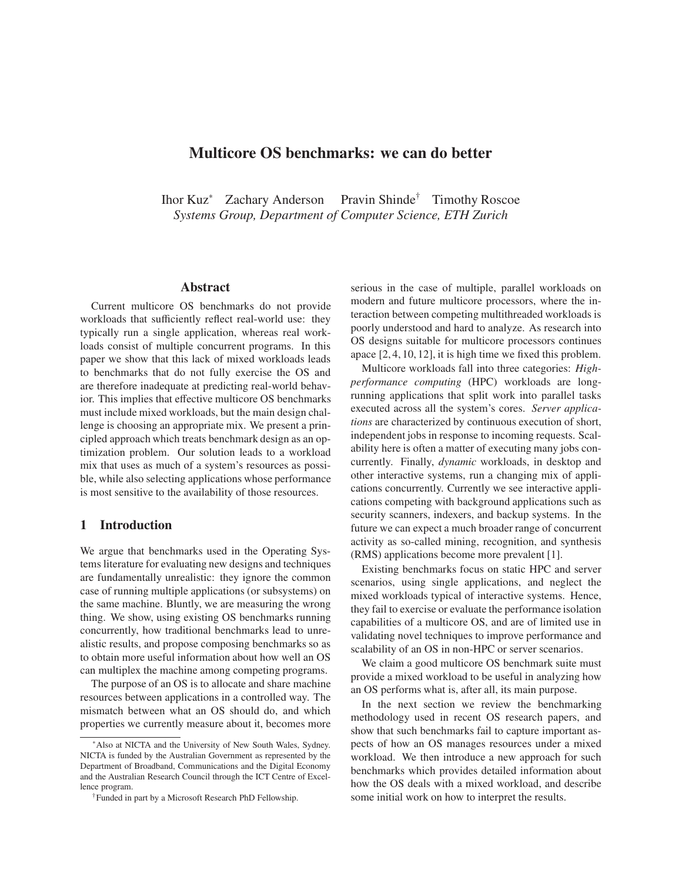# **Multicore OS benchmarks: we can do better**

Ihor Kuz<sup>∗</sup> Zachary Anderson Pravin Shinde† Timothy Roscoe *Systems Group, Department of Computer Science, ETH Zurich*

#### **Abstract**

Current multicore OS benchmarks do not provide workloads that sufficiently reflect real-world use: they typically run a single application, whereas real workloads consist of multiple concurrent programs. In this paper we show that this lack of mixed workloads leads to benchmarks that do not fully exercise the OS and are therefore inadequate at predicting real-world behavior. This implies that effective multicore OS benchmarks must include mixed workloads, but the main design challenge is choosing an appropriate mix. We present a principled approach which treats benchmark design as an optimization problem. Our solution leads to a workload mix that uses as much of a system's resources as possible, while also selecting applications whose performance is most sensitive to the availability of those resources.

### **1 Introduction**

We argue that benchmarks used in the Operating Systems literature for evaluating new designs and techniques are fundamentally unrealistic: they ignore the common case of running multiple applications (or subsystems) on the same machine. Bluntly, we are measuring the wrong thing. We show, using existing OS benchmarks running concurrently, how traditional benchmarks lead to unrealistic results, and propose composing benchmarks so as to obtain more useful information about how well an OS can multiplex the machine among competing programs.

The purpose of an OS is to allocate and share machine resources between applications in a controlled way. The mismatch between what an OS should do, and which properties we currently measure about it, becomes more serious in the case of multiple, parallel workloads on modern and future multicore processors, where the interaction between competing multithreaded workloads is poorly understood and hard to analyze. As research into OS designs suitable for multicore processors continues apace [2, 4, 10, 12], it is high time we fixed this problem.

Multicore workloads fall into three categories: *Highperformance computing* (HPC) workloads are longrunning applications that split work into parallel tasks executed across all the system's cores. *Server applications* are characterized by continuous execution of short, independent jobs in response to incoming requests. Scalability here is often a matter of executing many jobs concurrently. Finally, *dynamic* workloads, in desktop and other interactive systems, run a changing mix of applications concurrently. Currently we see interactive applications competing with background applications such as security scanners, indexers, and backup systems. In the future we can expect a much broader range of concurrent activity as so-called mining, recognition, and synthesis (RMS) applications become more prevalent [1].

Existing benchmarks focus on static HPC and server scenarios, using single applications, and neglect the mixed workloads typical of interactive systems. Hence, they fail to exercise or evaluate the performance isolation capabilities of a multicore OS, and are of limited use in validating novel techniques to improve performance and scalability of an OS in non-HPC or server scenarios.

We claim a good multicore OS benchmark suite must provide a mixed workload to be useful in analyzing how an OS performs what is, after all, its main purpose.

In the next section we review the benchmarking methodology used in recent OS research papers, and show that such benchmarks fail to capture important aspects of how an OS manages resources under a mixed workload. We then introduce a new approach for such benchmarks which provides detailed information about how the OS deals with a mixed workload, and describe some initial work on how to interpret the results.

<sup>∗</sup>Also at NICTA and the University of New South Wales, Sydney. NICTA is funded by the Australian Government as represented by the Department of Broadband, Communications and the Digital Economy and the Australian Research Council through the ICT Centre of Excellence program.

<sup>†</sup>Funded in part by a Microsoft Research PhD Fellowship.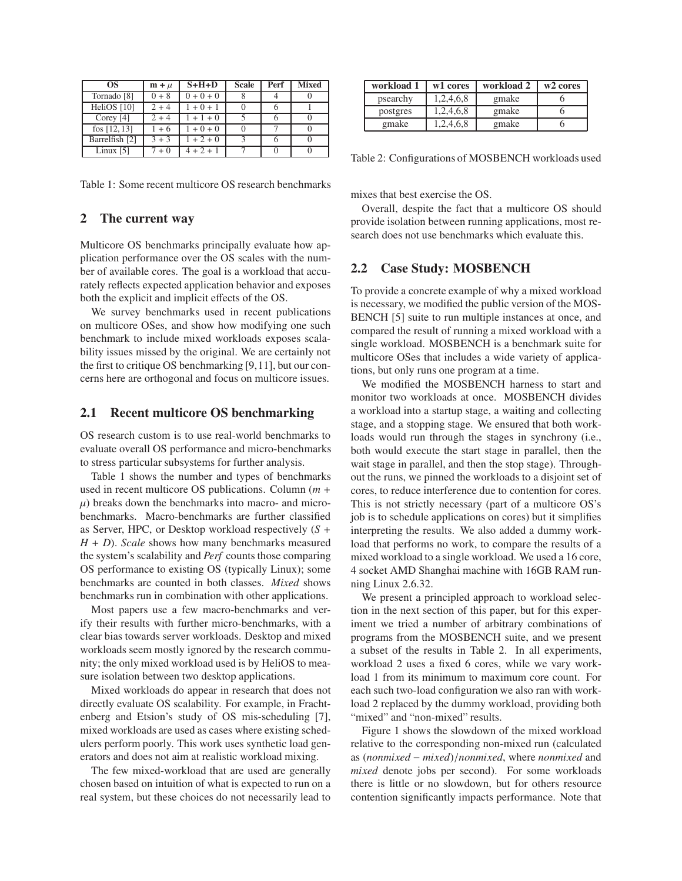| OS.                    | $m + \mu$ | $S+H+D$     | <b>Scale</b> | Perf | <b>Mixed</b> |
|------------------------|-----------|-------------|--------------|------|--------------|
| Tornado <sup>[8]</sup> | $0 + 8$   | $0 + 0 + 0$ |              |      |              |
| HeliOS [10]            | $2 + 4$   | $1 + 0 + 1$ |              |      |              |
| Corey $[4]$            | $2 + 4$   | $1 + 1 + 0$ |              |      |              |
| fos $[12, 13]$         | $1+6$     | $1 + 0 + 0$ |              |      |              |
| Barrelfish [2]         | $3 + 3$   | $1 + 2 + 0$ | $\mathbf{a}$ |      |              |
| Linux $[5]$            | $7 + 0$   | $4 + 2 + 1$ |              |      |              |

Table 1: Some recent multicore OS research benchmarks

### **2 The current way**

Multicore OS benchmarks principally evaluate how application performance over the OS scales with the number of available cores. The goal is a workload that accurately reflects expected application behavior and exposes both the explicit and implicit effects of the OS.

We survey benchmarks used in recent publications on multicore OSes, and show how modifying one such benchmark to include mixed workloads exposes scalability issues missed by the original. We are certainly not the first to critique OS benchmarking [9,11], but our concerns here are orthogonal and focus on multicore issues.

#### **2.1 Recent multicore OS benchmarking**

OS research custom is to use real-world benchmarks to evaluate overall OS performance and micro-benchmarks to stress particular subsystems for further analysis.

Table 1 shows the number and types of benchmarks used in recent multicore OS publications. Column (*m* +  $\mu$ ) breaks down the benchmarks into macro- and microbenchmarks. Macro-benchmarks are further classified as Server, HPC, or Desktop workload respectively (*S* + *H* + *D*). *Scale* shows how many benchmarks measured the system's scalability and *Perf* counts those comparing OS performance to existing OS (typically Linux); some benchmarks are counted in both classes. *Mixed* shows benchmarks run in combination with other applications.

Most papers use a few macro-benchmarks and verify their results with further micro-benchmarks, with a clear bias towards server workloads. Desktop and mixed workloads seem mostly ignored by the research community; the only mixed workload used is by HeliOS to measure isolation between two desktop applications.

Mixed workloads do appear in research that does not directly evaluate OS scalability. For example, in Frachtenberg and Etsion's study of OS mis-scheduling [7], mixed workloads are used as cases where existing schedulers perform poorly. This work uses synthetic load generators and does not aim at realistic workload mixing.

The few mixed-workload that are used are generally chosen based on intuition of what is expected to run on a real system, but these choices do not necessarily lead to

| workload 1 | w1 cores  | workload 2 | w <sub>2</sub> cores |
|------------|-----------|------------|----------------------|
| psearchy   | 1,2,4,6,8 | gmake      |                      |
| postgres   | 1,2,4,6,8 | gmake      |                      |
| gmake      | 1,2,4,6,8 | gmake      |                      |

Table 2: Configurations of MOSBENCH workloads used

mixes that best exercise the OS.

Overall, despite the fact that a multicore OS should provide isolation between running applications, most research does not use benchmarks which evaluate this.

## **2.2 Case Study: MOSBENCH**

To provide a concrete example of why a mixed workload is necessary, we modified the public version of the MOS-BENCH [5] suite to run multiple instances at once, and compared the result of running a mixed workload with a single workload. MOSBENCH is a benchmark suite for multicore OSes that includes a wide variety of applications, but only runs one program at a time.

We modified the MOSBENCH harness to start and monitor two workloads at once. MOSBENCH divides a workload into a startup stage, a waiting and collecting stage, and a stopping stage. We ensured that both workloads would run through the stages in synchrony (i.e., both would execute the start stage in parallel, then the wait stage in parallel, and then the stop stage). Throughout the runs, we pinned the workloads to a disjoint set of cores, to reduce interference due to contention for cores. This is not strictly necessary (part of a multicore OS's job is to schedule applications on cores) but it simplifies interpreting the results. We also added a dummy workload that performs no work, to compare the results of a mixed workload to a single workload. We used a 16 core, 4 socket AMD Shanghai machine with 16GB RAM running Linux 2.6.32.

We present a principled approach to workload selection in the next section of this paper, but for this experiment we tried a number of arbitrary combinations of programs from the MOSBENCH suite, and we present a subset of the results in Table 2. In all experiments, workload 2 uses a fixed 6 cores, while we vary workload 1 from its minimum to maximum core count. For each such two-load configuration we also ran with workload 2 replaced by the dummy workload, providing both "mixed" and "non-mixed" results.

Figure 1 shows the slowdown of the mixed workload relative to the corresponding non-mixed run (calculated as (*nonmixed* − *mixed*)/*nonmixed*, where *nonmixed* and *mixed* denote jobs per second). For some workloads there is little or no slowdown, but for others resource contention significantly impacts performance. Note that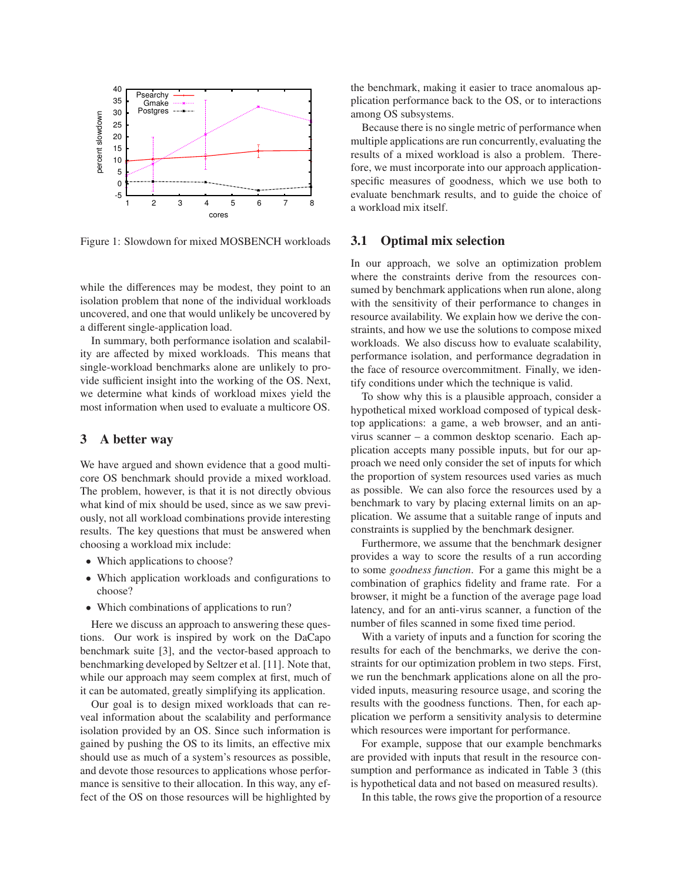

Figure 1: Slowdown for mixed MOSBENCH workloads

while the differences may be modest, they point to an isolation problem that none of the individual workloads uncovered, and one that would unlikely be uncovered by a different single-application load.

In summary, both performance isolation and scalability are affected by mixed workloads. This means that single-workload benchmarks alone are unlikely to provide sufficient insight into the working of the OS. Next, we determine what kinds of workload mixes yield the most information when used to evaluate a multicore OS.

### **3 A better way**

We have argued and shown evidence that a good multicore OS benchmark should provide a mixed workload. The problem, however, is that it is not directly obvious what kind of mix should be used, since as we saw previously, not all workload combinations provide interesting results. The key questions that must be answered when choosing a workload mix include:

- Which applications to choose?
- Which application workloads and configurations to choose?
- Which combinations of applications to run?

Here we discuss an approach to answering these questions. Our work is inspired by work on the DaCapo benchmark suite [3], and the vector-based approach to benchmarking developed by Seltzer et al. [11]. Note that, while our approach may seem complex at first, much of it can be automated, greatly simplifying its application.

Our goal is to design mixed workloads that can reveal information about the scalability and performance isolation provided by an OS. Since such information is gained by pushing the OS to its limits, an effective mix should use as much of a system's resources as possible, and devote those resources to applications whose performance is sensitive to their allocation. In this way, any effect of the OS on those resources will be highlighted by the benchmark, making it easier to trace anomalous application performance back to the OS, or to interactions among OS subsystems.

Because there is no single metric of performance when multiple applications are run concurrently, evaluating the results of a mixed workload is also a problem. Therefore, we must incorporate into our approach applicationspecific measures of goodness, which we use both to evaluate benchmark results, and to guide the choice of a workload mix itself.

#### **3.1 Optimal mix selection**

In our approach, we solve an optimization problem where the constraints derive from the resources consumed by benchmark applications when run alone, along with the sensitivity of their performance to changes in resource availability. We explain how we derive the constraints, and how we use the solutions to compose mixed workloads. We also discuss how to evaluate scalability, performance isolation, and performance degradation in the face of resource overcommitment. Finally, we identify conditions under which the technique is valid.

To show why this is a plausible approach, consider a hypothetical mixed workload composed of typical desktop applications: a game, a web browser, and an antivirus scanner – a common desktop scenario. Each application accepts many possible inputs, but for our approach we need only consider the set of inputs for which the proportion of system resources used varies as much as possible. We can also force the resources used by a benchmark to vary by placing external limits on an application. We assume that a suitable range of inputs and constraints is supplied by the benchmark designer.

Furthermore, we assume that the benchmark designer provides a way to score the results of a run according to some *goodness function*. For a game this might be a combination of graphics fidelity and frame rate. For a browser, it might be a function of the average page load latency, and for an anti-virus scanner, a function of the number of files scanned in some fixed time period.

With a variety of inputs and a function for scoring the results for each of the benchmarks, we derive the constraints for our optimization problem in two steps. First, we run the benchmark applications alone on all the provided inputs, measuring resource usage, and scoring the results with the goodness functions. Then, for each application we perform a sensitivity analysis to determine which resources were important for performance.

For example, suppose that our example benchmarks are provided with inputs that result in the resource consumption and performance as indicated in Table 3 (this is hypothetical data and not based on measured results).

In this table, the rows give the proportion of a resource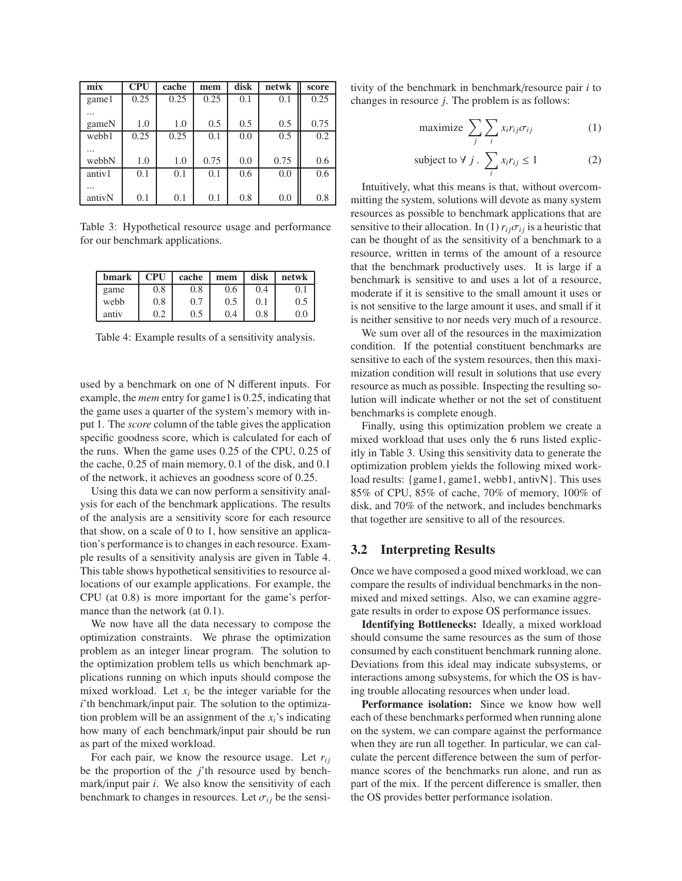| mix    | <b>CPU</b> | cache | mem  | disk | netwk | score |
|--------|------------|-------|------|------|-------|-------|
| gamel  | 0.25       | 0.25  | 0.25 | 0.1  | 0.1   | 0.25  |
|        |            |       |      |      |       |       |
| gameN  | 1.0        | 1.0   | 0.5  | 0.5  | 0.5   | 0.75  |
| webb1  | 0.25       | 0.25  | 0.1  | 0.0  | 0.5   | 0.2   |
|        |            |       |      |      |       |       |
| webbN  | 1.0        | 1.0   | 0.75 | 0.0  | 0.75  | 0.6   |
| antiv1 | 0.1        | 0.1   | 0.1  | 0.6  | 0.0   | 0.6   |
|        |            |       |      |      |       |       |
| antivN | 0.1        | 0.1   | 0.1  | 0.8  | 0.0   | 0.8   |

Table 3: Hypothetical resource usage and performance for our benchmark applications.

| bmark | <b>CPU</b> | cache    | mem | disk | netwk |
|-------|------------|----------|-----|------|-------|
| game  | 0.8        | $_{0.8}$ | 0.6 | 0.4  | 0.1   |
| webb  | 0.8        | 0.7      | 0.5 | 0.1  | (1.5) |
| antiv | 0.2        | 0.5      | 0.4 | 0.8  | 0.0   |

Table 4: Example results of a sensitivity analysis.

used by a benchmark on one of N different inputs. For example, the *mem* entry for game1 is 0.25, indicating that the game uses a quarter of the system's memory with input 1. The *score* column of the table gives the application specific goodness score, which is calculated for each of the runs. When the game uses 0.25 of the CPU, 0.25 of the cache, 0.25 of main memory, 0.1 of the disk, and 0.1 of the network, it achieves an goodness score of 0.25.

Using this data we can now perform a sensitivity analysis for each of the benchmark applications. The results of the analysis are a sensitivity score for each resource that show, on a scale of  $0$  to  $1$ , how sensitive an application's performance is to changes in each resource. Example results of a sensitivity analysis are given in Table 4. This table shows hypothetical sensitivities to resource allocations of our example applications. For example, the CPU (at 0.8) is more important for the game's performance than the network (at  $0.1$ ).

We now have all the data necessary to compose the optimization constraints. We phrase the optimization problem as an integer linear program. The solution to the optimization problem tells us which benchmark applications running on which inputs should compose the mixed workload. Let  $x_i$  be the integer variable for the *i*'th benchmark/input pair. The solution to the optimization problem will be an assignment of the  $x_i$ 's indicating how many of each benchmark/input pair should be run as part of the mixed workload.

For each pair, we know the resource usage. Let  $r_{ij}$ be the proportion of the *j*'th resource used by benchmark/input pair *i*. We also know the sensitivity of each benchmark to changes in resources. Let  $\sigma_{ii}$  be the sensitivity of the benchmark in benchmark/resource pair *i* to changes in resource *j*. The problem is as follows:

$$
\text{maximize } \sum_{j} \sum_{i} x_i r_{ij} \sigma_{ij} \tag{1}
$$

subject to 
$$
\forall j
$$
.  $\sum_{i} x_i r_{ij} \le 1$  (2)

Intuitively, what this means is that, without overcommitting the system, solutions will devote as many system resources as possible to benchmark applications that are sensitive to their allocation. In (1)  $r_{ij}\sigma_{ij}$  is a heuristic that can be thought of as the sensitivity of a benchmark to a resource, written in terms of the amount of a resource that the benchmark productively uses. It is large if a benchmark is sensitive to and uses a lot of a resource, moderate if it is sensitive to the small amount it uses or is not sensitive to the large amount it uses, and small if it is neither sensitive to nor needs very much of a resource.

We sum over all of the resources in the maximization condition. If the potential constituent benchmarks are sensitive to each of the system resources, then this maximization condition will result in solutions that use every resource as much as possible. Inspecting the resulting solution will indicate whether or not the set of constituent benchmarks is complete enough.

Finally, using this optimization problem we create a mixed workload that uses only the 6 runs listed explicitly in Table 3. Using this sensitivity data to generate the optimization problem yields the following mixed workload results: {game1, game1, webb1, antivN}. This uses 85% of CPU, 85% of cache, 70% of memory, 100% of disk, and 70% of the network, and includes benchmarks that together are sensitive to all of the resources.

### **3.2 Interpreting Results**

Once we have composed a good mixed workload, we can compare the results of individual benchmarks in the nonmixed and mixed settings. Also, we can examine aggregate results in order to expose OS performance issues.

**Identifying Bottlenecks:** Ideally, a mixed workload should consume the same resources as the sum of those consumed by each constituent benchmark running alone. Deviations from this ideal may indicate subsystems, or interactions among subsystems, for which the OS is having trouble allocating resources when under load.

**Performance isolation:** Since we know how well each of these benchmarks performed when running alone on the system, we can compare against the performance when they are run all together. In particular, we can calculate the percent difference between the sum of performance scores of the benchmarks run alone, and run as part of the mix. If the percent difference is smaller, then the OS provides better performance isolation.